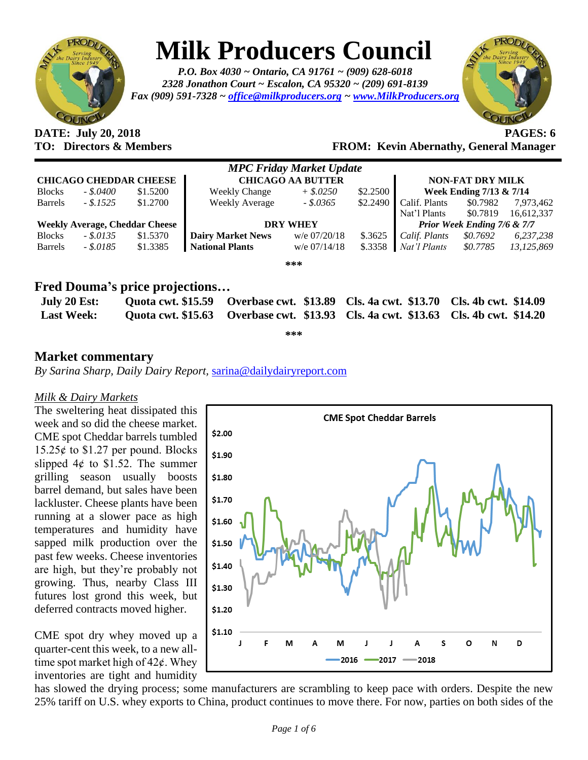

# **Milk Producers Council**

*P.O. Box 4030 ~ Ontario, CA 91761 ~ (909) 628-6018 2328 Jonathon Court ~ Escalon, CA 95320 ~ (209) 691-8139 Fax (909) 591-7328 ~ [office@milkproducers.org](mailto:office@milkproducers.org) ~ [www.MilkProducers.org](http://www.milkproducers.org/)*



# **DATE: July 20, 2018 PAGES: 6**

### **TO: Directors & Members FROM: Kevin Abernathy, General Manager**

| <b>MPC Friday Market Update</b>       |              |          |                          |                |          |                             |          |            |  |  |
|---------------------------------------|--------------|----------|--------------------------|----------------|----------|-----------------------------|----------|------------|--|--|
| <b>CHICAGO CHEDDAR CHEESE</b>         |              |          | <b>CHICAGO AA BUTTER</b> |                |          | <b>NON-FAT DRY MILK</b>     |          |            |  |  |
| <b>Blocks</b>                         | $-.5,0400$   | \$1.5200 | <b>Weekly Change</b>     | $+$ \$.0250    | \$2.2500 | Week Ending $7/13 \& 7/14$  |          |            |  |  |
| <b>Barrels</b>                        | $-.5.1525$   | \$1,2700 | <b>Weekly Average</b>    | $-.5.0365$     | \$2.2490 | Calif. Plants               | \$0.7982 | 7,973,462  |  |  |
|                                       |              |          |                          |                |          | Nat'l Plants                | \$0.7819 | 16,612,337 |  |  |
| <b>Weekly Average, Cheddar Cheese</b> |              |          | <b>DRY WHEY</b>          |                |          | Prior Week Ending 7/6 & 7/7 |          |            |  |  |
| <b>Blocks</b>                         | $-.$ \$.0135 | \$1.5370 | <b>Dairy Market News</b> | w/e 07/20/18   | \$.3625  | Calif. Plants               | \$0.7692 | 6,237,238  |  |  |
| <b>Barrels</b>                        | $-.5.0185$   | \$1.3385 | <b>National Plants</b>   | $w/e$ 07/14/18 | \$.3358  | Nat'l Plants                | \$0.7785 | 13,125,869 |  |  |
| ***                                   |              |          |                          |                |          |                             |          |            |  |  |

### **Fred Douma's price projections…**

| July 20 Est:      | Quota cwt. \$15.59 Overbase cwt. \$13.89 Cls. 4a cwt. \$13.70 Cls. 4b cwt. \$14.09 |  |
|-------------------|------------------------------------------------------------------------------------|--|
| <b>Last Week:</b> | Quota cwt. \$15.63 Overbase cwt. \$13.93 Cls. 4a cwt. \$13.63 Cls. 4b cwt. \$14.20 |  |

**\*\*\***

### **Market commentary**

*By Sarina Sharp, Daily Dairy Report,* [sarina@dailydairyreport.com](mailto:sarina@dailydairyreport.com)

#### *Milk & Dairy Markets*

The sweltering heat dissipated this week and so did the cheese market. CME spot Cheddar barrels tumbled  $15.25¢$  to \$1.27 per pound. Blocks slipped  $4¢$  to \$1.52. The summer grilling season usually boosts barrel demand, but sales have been lackluster. Cheese plants have been running at a slower pace as high temperatures and humidity have sapped milk production over the past few weeks. Cheese inventories are high, but they're probably not growing. Thus, nearby Class III futures lost grond this week, but deferred contracts moved higher.

CME spot dry whey moved up a quarter-cent this week, to a new alltime spot market high of  $42¢$ . Whey inventories are tight and humidity



has slowed the drying process; some manufacturers are scrambling to keep pace with orders. Despite the new 25% tariff on U.S. whey exports to China, product continues to move there. For now, parties on both sides of the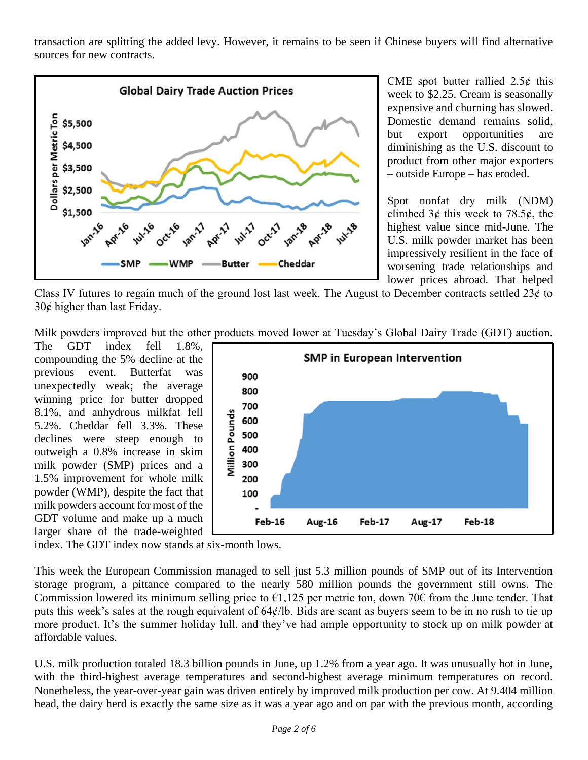transaction are splitting the added levy. However, it remains to be seen if Chinese buyers will find alternative sources for new contracts.



CME spot butter rallied  $2.5¢$  this week to \$2.25. Cream is seasonally expensive and churning has slowed. Domestic demand remains solid, but export opportunities are diminishing as the U.S. discount to product from other major exporters – outside Europe – has eroded.

Spot nonfat dry milk (NDM) climbed  $3¢$  this week to 78.5 $¢$ , the highest value since mid-June. The U.S. milk powder market has been impressively resilient in the face of worsening trade relationships and lower prices abroad. That helped

Class IV futures to regain much of the ground lost last week. The August to December contracts settled  $23¢$  to  $30¢$  higher than last Friday.

Milk powders improved but the other products moved lower at Tuesday's Global Dairy Trade (GDT) auction.

The GDT index fell  $1.8\%$ . compounding the 5% decline at the previous event. Butterfat was unexpectedly weak; the average winning price for butter dropped 8.1%, and anhydrous milkfat fell 5.2%. Cheddar fell 3.3%. These declines were steep enough to outweigh a 0.8% increase in skim milk powder (SMP) prices and a 1.5% improvement for whole milk powder (WMP), despite the fact that milk powders account for most of the GDT volume and make up a much larger share of the trade-weighted



index. The GDT index now stands at six-month lows.

This week the European Commission managed to sell just 5.3 million pounds of SMP out of its Intervention storage program, a pittance compared to the nearly 580 million pounds the government still owns. The Commission lowered its minimum selling price to  $\epsilon$ 1,125 per metric ton, down 70 $\epsilon$  from the June tender. That puts this week's sales at the rough equivalent of 64¢/lb. Bids are scant as buyers seem to be in no rush to tie up more product. It's the summer holiday lull, and they've had ample opportunity to stock up on milk powder at affordable values.

U.S. milk production totaled 18.3 billion pounds in June, up 1.2% from a year ago. It was unusually hot in June, with the third-highest average temperatures and second-highest average minimum temperatures on record. Nonetheless, the year-over-year gain was driven entirely by improved milk production per cow. At 9.404 million head, the dairy herd is exactly the same size as it was a year ago and on par with the previous month, according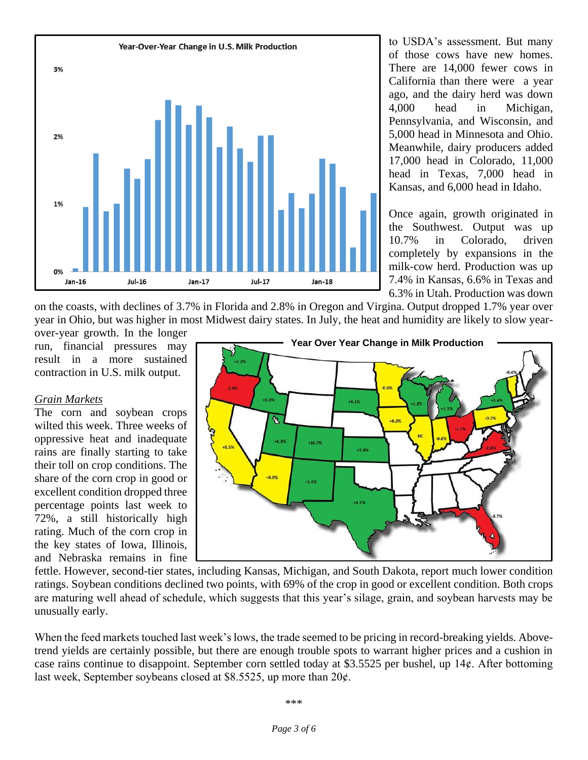

to USDA's assessment. But many of those cows have new homes. There are 14,000 fewer cows in California than there were a year ago, and the dairy herd was down 4,000 head in Michigan, Pennsylvania, and Wisconsin, and 5,000 head in Minnesota and Ohio. Meanwhile, dairy producers added 17,000 head in Colorado, 11,000 head in Texas, 7,000 head in Kansas, and 6,000 head in Idaho.

Once again, growth originated in the Southwest. Output was up 10.7% in Colorado, driven completely by expansions in the milk-cow herd. Production was up 7.4% in Kansas, 6.6% in Texas and 6.3% in Utah. Production was down

on the coasts, with declines of 3.7% in Florida and 2.8% in Oregon and Virgina. Output dropped 1.7% year over year in Ohio, but was higher in most Midwest dairy states. In July, the heat and humidity are likely to slow year-

over-year growth. In the longer run, financial pressures may result in a more sustained contraction in U.S. milk output.

#### *Grain Markets*

The corn and soybean crops wilted this week. Three weeks of oppressive heat and inadequate rains are finally starting to take their toll on crop conditions. The share of the corn crop in good or excellent condition dropped three percentage points last week to 72%, a still historically high rating. Much of the corn crop in the key states of Iowa, Illinois, and Nebraska remains in fine



fettle. However, second-tier states, including Kansas, Michigan, and South Dakota, report much lower condition ratings. Soybean conditions declined two points, with 69% of the crop in good or excellent condition. Both crops are maturing well ahead of schedule, which suggests that this year's silage, grain, and soybean harvests may be unusually early.

When the feed markets touched last week's lows, the trade seemed to be pricing in record-breaking yields. Abovetrend yields are certainly possible, but there are enough trouble spots to warrant higher prices and a cushion in case rains continue to disappoint. September corn settled today at \$3.5525 per bushel, up 14¢. After bottoming last week, September soybeans closed at \$8.5525, up more than  $20¢$ .

#### \*\*\*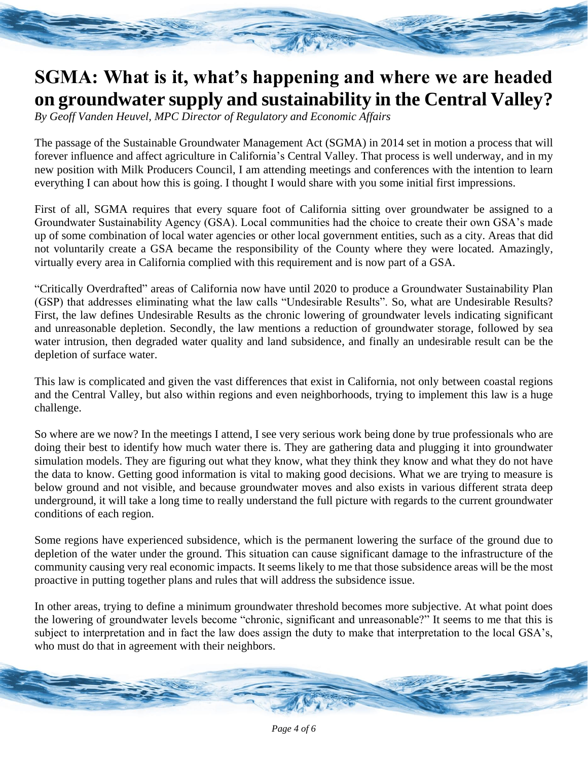## **SGMA: What is it, what's happening and where we are headed on groundwater supply and sustainability in the Central Valley?**

*By Geoff Vanden Heuvel, MPC Director of Regulatory and Economic Affairs*

The passage of the Sustainable Groundwater Management Act (SGMA) in 2014 set in motion a process that will forever influence and affect agriculture in California's Central Valley. That process is well underway, and in my new position with Milk Producers Council, I am attending meetings and conferences with the intention to learn everything I can about how this is going. I thought I would share with you some initial first impressions.

First of all, SGMA requires that every square foot of California sitting over groundwater be assigned to a Groundwater Sustainability Agency (GSA). Local communities had the choice to create their own GSA's made up of some combination of local water agencies or other local government entities, such as a city. Areas that did not voluntarily create a GSA became the responsibility of the County where they were located. Amazingly, virtually every area in California complied with this requirement and is now part of a GSA.

"Critically Overdrafted" areas of California now have until 2020 to produce a Groundwater Sustainability Plan (GSP) that addresses eliminating what the law calls "Undesirable Results". So, what are Undesirable Results? First, the law defines Undesirable Results as the chronic lowering of groundwater levels indicating significant and unreasonable depletion. Secondly, the law mentions a reduction of groundwater storage, followed by sea water intrusion, then degraded water quality and land subsidence, and finally an undesirable result can be the depletion of surface water.

This law is complicated and given the vast differences that exist in California, not only between coastal regions and the Central Valley, but also within regions and even neighborhoods, trying to implement this law is a huge challenge.

So where are we now? In the meetings I attend, I see very serious work being done by true professionals who are doing their best to identify how much water there is. They are gathering data and plugging it into groundwater simulation models. They are figuring out what they know, what they think they know and what they do not have the data to know. Getting good information is vital to making good decisions. What we are trying to measure is below ground and not visible, and because groundwater moves and also exists in various different strata deep underground, it will take a long time to really understand the full picture with regards to the current groundwater conditions of each region.

Some regions have experienced subsidence, which is the permanent lowering the surface of the ground due to depletion of the water under the ground. This situation can cause significant damage to the infrastructure of the community causing very real economic impacts. It seems likely to me that those subsidence areas will be the most proactive in putting together plans and rules that will address the subsidence issue.

In other areas, trying to define a minimum groundwater threshold becomes more subjective. At what point does the lowering of groundwater levels become "chronic, significant and unreasonable?" It seems to me that this is subject to interpretation and in fact the law does assign the duty to make that interpretation to the local GSA's, who must do that in agreement with their neighbors.

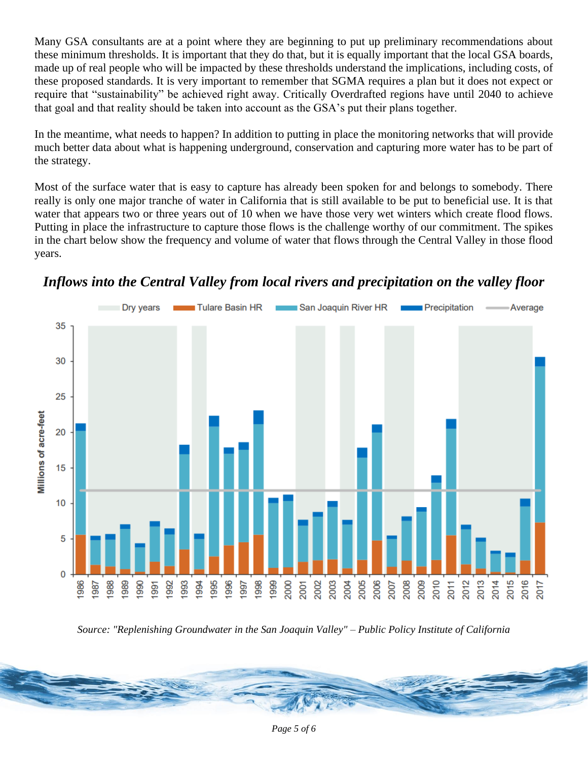Many GSA consultants are at a point where they are beginning to put up preliminary recommendations about these minimum thresholds. It is important that they do that, but it is equally important that the local GSA boards, made up of real people who will be impacted by these thresholds understand the implications, including costs, of these proposed standards. It is very important to remember that SGMA requires a plan but it does not expect or require that "sustainability" be achieved right away. Critically Overdrafted regions have until 2040 to achieve that goal and that reality should be taken into account as the GSA's put their plans together.

In the meantime, what needs to happen? In addition to putting in place the monitoring networks that will provide much better data about what is happening underground, conservation and capturing more water has to be part of the strategy.

Most of the surface water that is easy to capture has already been spoken for and belongs to somebody. There really is only one major tranche of water in California that is still available to be put to beneficial use. It is that water that appears two or three years out of 10 when we have those very wet winters which create flood flows. Putting in place the infrastructure to capture those flows is the challenge worthy of our commitment. The spikes in the chart below show the frequency and volume of water that flows through the Central Valley in those flood years.





*Source: "Replenishing Groundwater in the San Joaquin Valley" – Public Policy Institute of California*